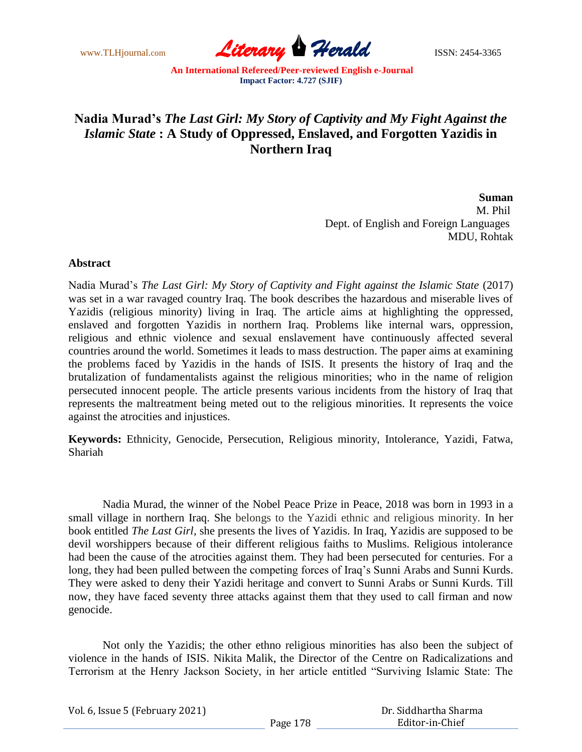

## **Nadia Murad's** *The Last Girl: My Story of Captivity and My Fight Against the Islamic State* **: A Study of Oppressed, Enslaved, and Forgotten Yazidis in Northern Iraq**

**Suman**  M. Phil Dept. of English and Foreign Languages MDU, Rohtak

## **Abstract**

Nadia Murad's *The Last Girl: My Story of Captivity and Fight against the Islamic State* (2017) was set in a war ravaged country Iraq. The book describes the hazardous and miserable lives of Yazidis (religious minority) living in Iraq. The article aims at highlighting the oppressed, enslaved and forgotten Yazidis in northern Iraq. Problems like internal wars, oppression, religious and ethnic violence and sexual enslavement have continuously affected several countries around the world. Sometimes it leads to mass destruction. The paper aims at examining the problems faced by Yazidis in the hands of ISIS. It presents the history of Iraq and the brutalization of fundamentalists against the religious minorities; who in the name of religion persecuted innocent people. The article presents various incidents from the history of Iraq that represents the maltreatment being meted out to the religious minorities. It represents the voice against the atrocities and injustices.

**Keywords:** Ethnicity, Genocide, Persecution, Religious minority, Intolerance, Yazidi, Fatwa, Shariah

Nadia Murad, the winner of the Nobel Peace Prize in Peace, 2018 was born in 1993 in a small village in northern Iraq. She belongs to the Yazidi ethnic and religious minority. In her book entitled *The Last Girl*, she presents the lives of Yazidis. In Iraq, Yazidis are supposed to be devil worshippers because of their different religious faiths to Muslims. Religious intolerance had been the cause of the atrocities against them. They had been persecuted for centuries. For a long, they had been pulled between the competing forces of Iraq's Sunni Arabs and Sunni Kurds. They were asked to deny their Yazidi heritage and convert to Sunni Arabs or Sunni Kurds. Till now, they have faced seventy three attacks against them that they used to call firman and now genocide.

Not only the Yazidis; the other ethno religious minorities has also been the subject of violence in the hands of ISIS. Nikita Malik, the Director of the Centre on Radicalizations and Terrorism at the Henry Jackson Society, in her article entitled "Surviving Islamic State: The

| Vol. 6, Issue 5 (February 2021) |          | Dr. Siddhartha Sharma |
|---------------------------------|----------|-----------------------|
|                                 | Page 178 | Editor-in-Chief       |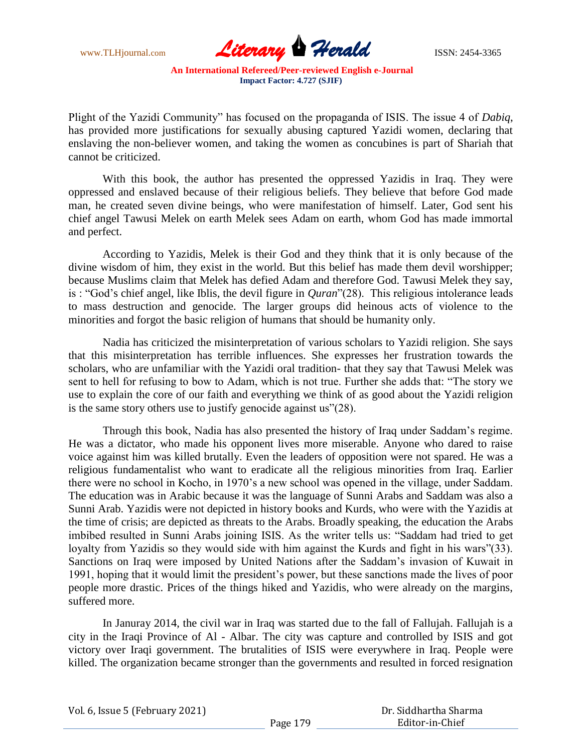

Plight of the Yazidi Community" has focused on the propaganda of ISIS. The issue 4 of *Dabiq*, has provided more justifications for sexually abusing captured Yazidi women, declaring that enslaving the non-believer women, and taking the women as concubines is part of Shariah that cannot be criticized.

With this book, the author has presented the oppressed Yazidis in Iraq. They were oppressed and enslaved because of their religious beliefs. They believe that before God made man, he created seven divine beings, who were manifestation of himself. Later, God sent his chief angel Tawusi Melek on earth Melek sees Adam on earth, whom God has made immortal and perfect.

According to Yazidis, Melek is their God and they think that it is only because of the divine wisdom of him, they exist in the world. But this belief has made them devil worshipper; because Muslims claim that Melek has defied Adam and therefore God. Tawusi Melek they say, is : "God's chief angel, like Iblis, the devil figure in *Quran*"(28). This religious intolerance leads to mass destruction and genocide. The larger groups did heinous acts of violence to the minorities and forgot the basic religion of humans that should be humanity only.

Nadia has criticized the misinterpretation of various scholars to Yazidi religion. She says that this misinterpretation has terrible influences. She expresses her frustration towards the scholars, who are unfamiliar with the Yazidi oral tradition- that they say that Tawusi Melek was sent to hell for refusing to bow to Adam, which is not true. Further she adds that: "The story we use to explain the core of our faith and everything we think of as good about the Yazidi religion is the same story others use to justify genocide against us"(28).

Through this book, Nadia has also presented the history of Iraq under Saddam's regime. He was a dictator, who made his opponent lives more miserable. Anyone who dared to raise voice against him was killed brutally. Even the leaders of opposition were not spared. He was a religious fundamentalist who want to eradicate all the religious minorities from Iraq. Earlier there were no school in Kocho, in 1970's a new school was opened in the village, under Saddam. The education was in Arabic because it was the language of Sunni Arabs and Saddam was also a Sunni Arab. Yazidis were not depicted in history books and Kurds, who were with the Yazidis at the time of crisis; are depicted as threats to the Arabs. Broadly speaking, the education the Arabs imbibed resulted in Sunni Arabs joining ISIS. As the writer tells us: "Saddam had tried to get loyalty from Yazidis so they would side with him against the Kurds and fight in his wars"(33). Sanctions on Iraq were imposed by United Nations after the Saddam's invasion of Kuwait in 1991, hoping that it would limit the president's power, but these sanctions made the lives of poor people more drastic. Prices of the things hiked and Yazidis, who were already on the margins, suffered more.

In Januray 2014, the civil war in Iraq was started due to the fall of Fallujah. Fallujah is a city in the Iraqi Province of Al - Albar. The city was capture and controlled by ISIS and got victory over Iraqi government. The brutalities of ISIS were everywhere in Iraq. People were killed. The organization became stronger than the governments and resulted in forced resignation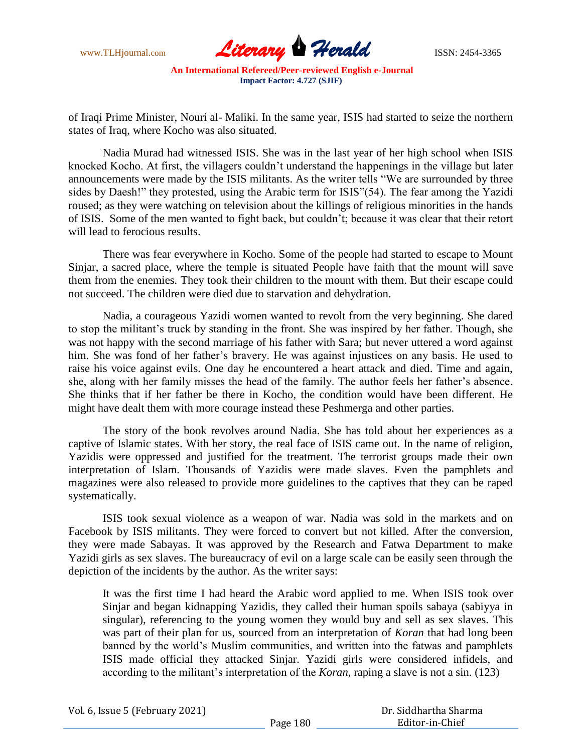

of Iraqi Prime Minister, Nouri al- Maliki. In the same year, ISIS had started to seize the northern states of Iraq, where Kocho was also situated.

Nadia Murad had witnessed ISIS. She was in the last year of her high school when ISIS knocked Kocho. At first, the villagers couldn't understand the happenings in the village but later announcements were made by the ISIS militants. As the writer tells "We are surrounded by three sides by Daesh!" they protested, using the Arabic term for ISIS"(54). The fear among the Yazidi roused; as they were watching on television about the killings of religious minorities in the hands of ISIS. Some of the men wanted to fight back, but couldn't; because it was clear that their retort will lead to ferocious results.

There was fear everywhere in Kocho. Some of the people had started to escape to Mount Sinjar, a sacred place, where the temple is situated People have faith that the mount will save them from the enemies. They took their children to the mount with them. But their escape could not succeed. The children were died due to starvation and dehydration.

Nadia, a courageous Yazidi women wanted to revolt from the very beginning. She dared to stop the militant's truck by standing in the front. She was inspired by her father. Though, she was not happy with the second marriage of his father with Sara; but never uttered a word against him. She was fond of her father's bravery. He was against injustices on any basis. He used to raise his voice against evils. One day he encountered a heart attack and died. Time and again, she, along with her family misses the head of the family. The author feels her father's absence. She thinks that if her father be there in Kocho, the condition would have been different. He might have dealt them with more courage instead these Peshmerga and other parties.

The story of the book revolves around Nadia. She has told about her experiences as a captive of Islamic states. With her story, the real face of ISIS came out. In the name of religion, Yazidis were oppressed and justified for the treatment. The terrorist groups made their own interpretation of Islam. Thousands of Yazidis were made slaves. Even the pamphlets and magazines were also released to provide more guidelines to the captives that they can be raped systematically.

ISIS took sexual violence as a weapon of war. Nadia was sold in the markets and on Facebook by ISIS militants. They were forced to convert but not killed. After the conversion, they were made Sabayas. It was approved by the Research and Fatwa Department to make Yazidi girls as sex slaves. The bureaucracy of evil on a large scale can be easily seen through the depiction of the incidents by the author. As the writer says:

It was the first time I had heard the Arabic word applied to me. When ISIS took over Sinjar and began kidnapping Yazidis, they called their human spoils sabaya (sabiyya in singular), referencing to the young women they would buy and sell as sex slaves. This was part of their plan for us, sourced from an interpretation of *Koran* that had long been banned by the world's Muslim communities, and written into the fatwas and pamphlets ISIS made official they attacked Sinjar. Yazidi girls were considered infidels, and according to the militant's interpretation of the *Koran,* raping a slave is not a sin. (123)

| Vol. 6, Issue 5 (February 2021) |  |
|---------------------------------|--|
|---------------------------------|--|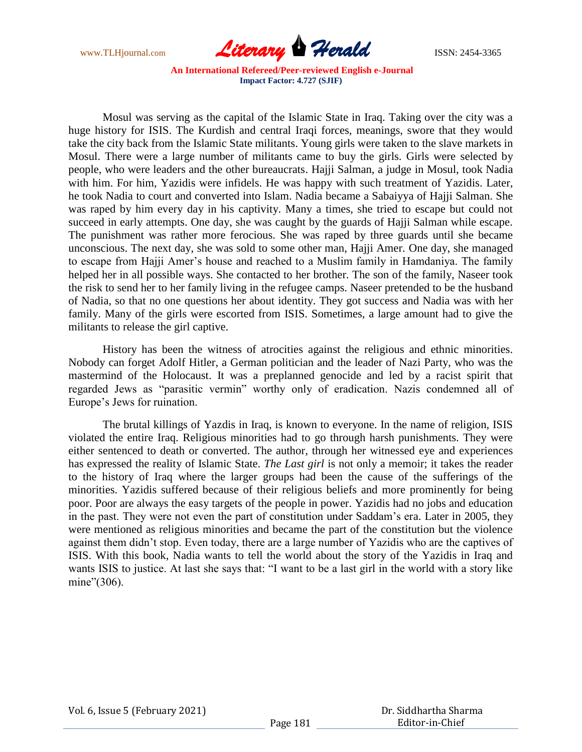

Mosul was serving as the capital of the Islamic State in Iraq. Taking over the city was a huge history for ISIS. The Kurdish and central Iraqi forces, meanings, swore that they would take the city back from the Islamic State militants. Young girls were taken to the slave markets in Mosul. There were a large number of militants came to buy the girls. Girls were selected by people, who were leaders and the other bureaucrats. Hajji Salman, a judge in Mosul, took Nadia with him. For him, Yazidis were infidels. He was happy with such treatment of Yazidis. Later, he took Nadia to court and converted into Islam. Nadia became a Sabaiyya of Hajji Salman. She was raped by him every day in his captivity. Many a times, she tried to escape but could not succeed in early attempts. One day, she was caught by the guards of Hajji Salman while escape. The punishment was rather more ferocious. She was raped by three guards until she became unconscious. The next day, she was sold to some other man, Hajji Amer. One day, she managed to escape from Hajji Amer's house and reached to a Muslim family in Hamdaniya. The family helped her in all possible ways. She contacted to her brother. The son of the family, Naseer took the risk to send her to her family living in the refugee camps. Naseer pretended to be the husband of Nadia, so that no one questions her about identity. They got success and Nadia was with her family. Many of the girls were escorted from ISIS. Sometimes, a large amount had to give the militants to release the girl captive.

History has been the witness of atrocities against the religious and ethnic minorities. Nobody can forget Adolf Hitler, a German politician and the leader of Nazi Party, who was the mastermind of the Holocaust. It was a preplanned genocide and led by a racist spirit that regarded Jews as "parasitic vermin" worthy only of eradication. Nazis condemned all of Europe's Jews for ruination.

The brutal killings of Yazdis in Iraq, is known to everyone. In the name of religion, ISIS violated the entire Iraq. Religious minorities had to go through harsh punishments. They were either sentenced to death or converted. The author, through her witnessed eye and experiences has expressed the reality of Islamic State. *The Last girl* is not only a memoir; it takes the reader to the history of Iraq where the larger groups had been the cause of the sufferings of the minorities. Yazidis suffered because of their religious beliefs and more prominently for being poor. Poor are always the easy targets of the people in power. Yazidis had no jobs and education in the past. They were not even the part of constitution under Saddam's era. Later in 2005, they were mentioned as religious minorities and became the part of the constitution but the violence against them didn't stop. Even today, there are a large number of Yazidis who are the captives of ISIS. With this book, Nadia wants to tell the world about the story of the Yazidis in Iraq and wants ISIS to justice. At last she says that: "I want to be a last girl in the world with a story like mine"(306).